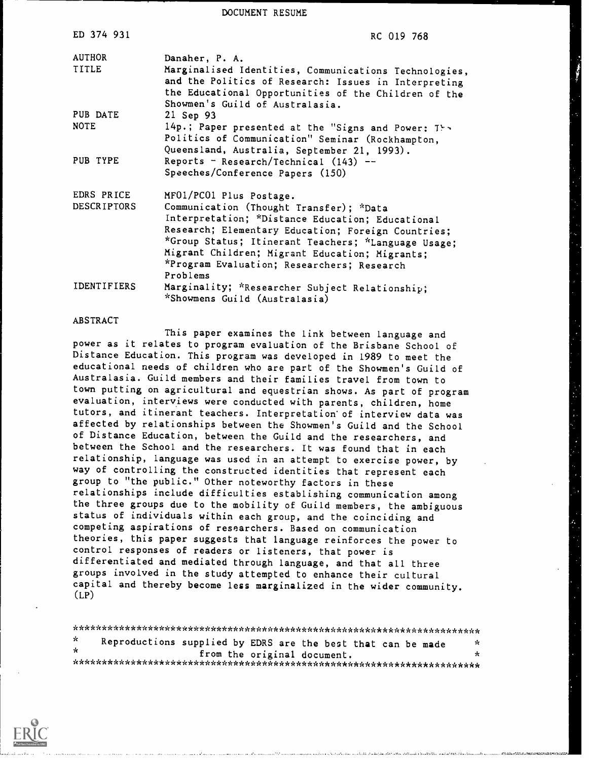DOCUMENT RESUME

| ED 374 931                       | RC 019 768                                                                                                                                                                                                                                                                            |
|----------------------------------|---------------------------------------------------------------------------------------------------------------------------------------------------------------------------------------------------------------------------------------------------------------------------------------|
| AUTHOR<br>TITLE                  | Danaher, P. A.<br>Marginalised Identities, Communications Technologies,<br>and the Politics of Research: Issues in Interpreting                                                                                                                                                       |
| PUB DATE                         | the Educational Opportunities of the Children of the<br>Showmen's Guild of Australasia.<br>21 Sep 93                                                                                                                                                                                  |
| <b>NOTE</b>                      | 14p.; Paper presented at the "Signs and Power: The<br>Politics of Communication" Seminar (Rockhampton,<br>Queensland, Australia, September 21, 1993).                                                                                                                                 |
| PUB TYPE                         | Reports - Research/Technical (143) --<br>Speeches/Conference Papers (150)                                                                                                                                                                                                             |
| EDRS PRICE<br><b>DESCRIPTORS</b> | MF01/PC01 Plus Postage.<br>Communication (Thought Transfer); *Data<br>Interpretation; *Distance Education; Educational<br>Research; Elementary Education; Foreign Countries;<br>*Group Status; Itinerant Teachers; *Language Usage;<br>Migrant Children; Migrant Education; Migrants; |
| <b>IDENTIFIERS</b>               | *Program Evaluation; Researchers; Research<br>Problems<br>Marginality; *Researcher Subject Relationship;<br>*Showmens Guild (Australasia)                                                                                                                                             |

#### ABSTRACT

This paper examines the link between language and power as it relates to program evaluation of the Brisbane School of Distance Education. This program was developed in 1989 to meet the educational needs of children who are part of the Showmen's Guild of Australasia. Guild members and their families travel from town to town putting on agricultural and equestrian shows. As part of program evaluation, interviews were conducted with parents, children, home tutors, and itinerant teachers. Interpretation'of interview data was affected by relationships between the Showmen's Guild and the School of Distance Education, between the Guild and the researchers, and between the School and the researchers. It was found that in each relationship, language was used in an attempt to exercise power, by way of controlling the constructed identities that represent each group to "the public." Other noteworthy factors in these relationships include difficulties establishing communication among the three groups due to the mobility of Guild members, the ambiguous status of individuals within each group, and the coinciding and competing aspirations of researchers. Based on communication theories, this paper suggests that language reinforces the power to control responses of readers or listeners, that power is differentiated and mediated through language, and that all three groups involved in the study attempted to enhance their cultural capital and thereby become less marginalized in the wider community.  $(LP)$ 

\*\*\*\*\*\*\*\*\*\*\*\*\*\*\*\*\*\*\*\*\*\*\*\*\*\*\*\*\*\*\*\*\*\*\*\*\*\*\*\*\*\*\*\*\*\*\*\*\*\*\*\*\*\*\*\*\*\*\*\*\*\*\*\*\*\*\*\*\*\*\* Reproductions supplied by EDRS are the best that can be made  $\star$ from the original document. \*\*\*\*\*\*\*\*\*\*\*\*\*\*\*\*\*\*\*\*\*\*\*\*\*\*\*\*\*\*\*\*\*\*\*\*\*\*\*\*\*\*\*\*\*\*\*\*\*\*\*\*\*\*\*\*\*\*\*\*\*\*\*\*\*\*\*\*\*\*\*

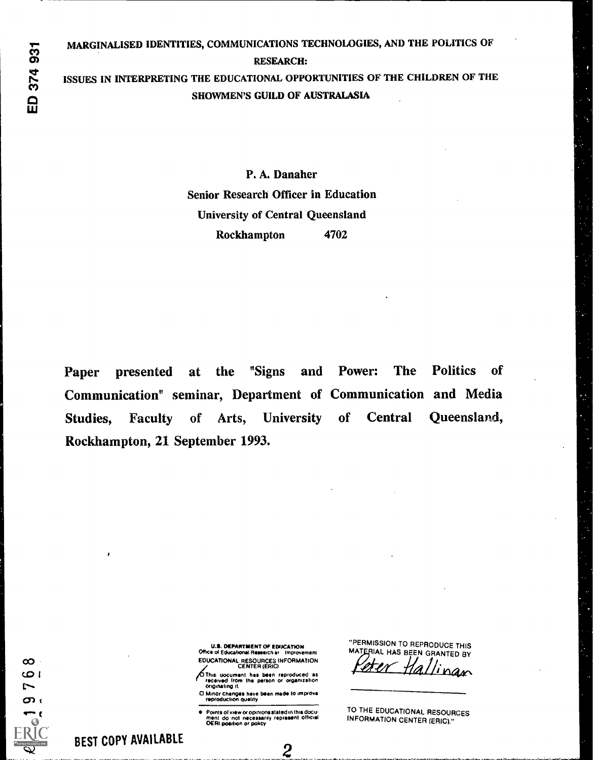374 931  $\mathbf{\Omega}$ 

#### RESEARCH:

ISSUES IN INTERPRETING THE EDUCATIONAL OPPORTUNITIES OF THE CHILDREN OF THE SHOWMEN'S GUILD OF AUSTRALASIA

> P. A. Danaher Senior Research Officer in Education University of Central Queensland Rockhampton 4702

Paper presented at the "Signs and Power: The Politics of Communication" seminar, Department of Communication and Media Studies, Faculty of Arts, University of Central Queensland, Rockhampton, 21 September 1993.

U.S. DEPARTMENT OF EDOCATION Office of Educational Research at Improvement EDUCATIONAL RESOURCES INFORMATION CENTER (ERIC)

/15/Thes document has boon reproduced is received from the porton or organization originating it

O Minor changes have been made to improve reproduction Quaid y

Points of view or opinions stated in this docu-<br>ment ido: not: necessarily: represent: official<br>OERI position or policy

"PERMISSION TO REPRODUCE THIS MATERIAL HAS BEEN GRANTED BY

Er Hallinan

TO THE EDUCATIONAL RESOURCES INFORMATION CENTER (ERIC)."

 $\infty$ CO 1

 $\overline{ }$ 

 $\overline{\phantom{0}}$ 

t

 $\infty$ 

 $\bigcap$  and  $\bigcap$  and  $\bigcap$  and  $\bigcap$  and  $\bigcap$ 

. 2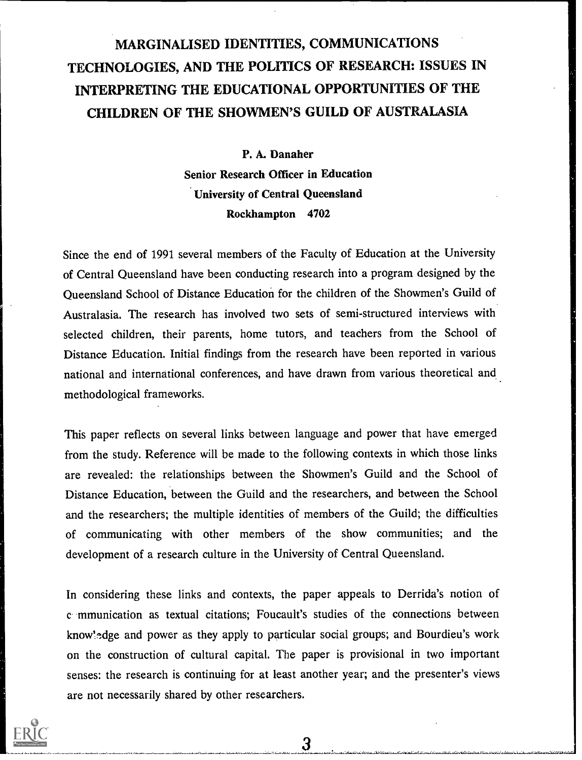# MARGINALISED IDENTITIES, COMMUNICATIONS TECHNOLOGIES, AND THE POLITICS OF RESEARCH: ISSUES IN INTERPRETING THE EDUCATIONAL OPPORTUNITIES OF THE CHILDREN OF THE SHOWMEN'S GUILD OF AUSTRALASIA

P. A. Danaher

Senior Research Officer in Education University of Central Queensland Rockhampton 4702

Since the end of 1991 several members of the Faculty of Education at the University of Central Queensland have been conducting research into a program designed by the Queensland School of Distance Education for the children of the Showmen's Guild of Australasia. The research has involved two sets of semi-structured interviews with selected children, their parents, home tutors, and teachers from the School of Distance Education. Initial findings from the research have been reported in various national and international conferences, and have drawn from various theoretical and methodological frameworks.

This paper reflects on several links between language and power that have emerged from the study. Reference will be made to the following contexts in which those links are revealed: the relationships between the Showmen's Guild and the School of Distance Education, between the Guild and the researchers, and between the School and the researchers; the multiple identities of members of the Guild; the difficulties of communicating with other members of the show communities; and the development of a research culture in the University of Central Queensland.

In considering these links and contexts, the paper appeals to Derrida's notion of c mmunication as textual citations; Foucault's studies of the connections between know!edge and power as they apply to particular social groups; and Bourdieu's work on the construction of cultural capital. The paper is provisional in two important senses: the research is continuing for at least another year; and the presenter's views are not necessarily shared by other researchers.

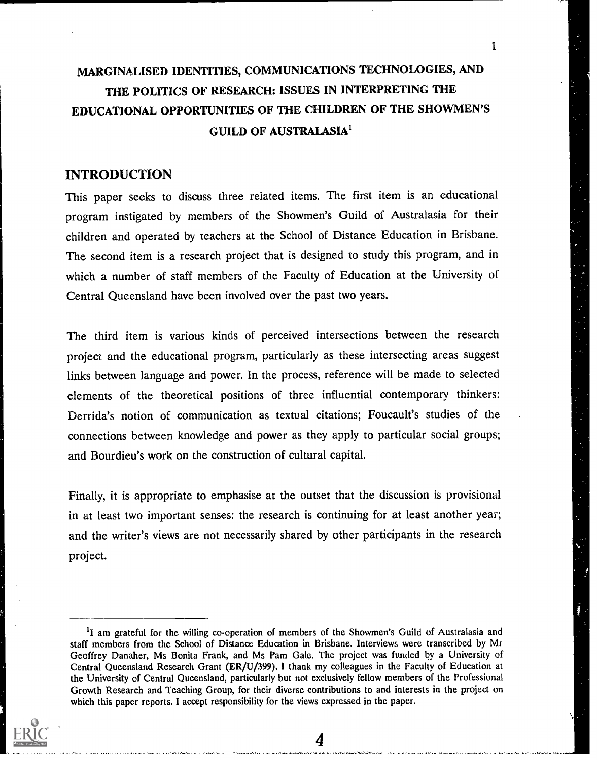# MARGINALISED IDENTITIES, COMMUNICATIONS TECHNOLOGIES, AND THE POLITICS OF RESEARCH: ISSUES IN INTERPRETING THE EDUCATIONAL OPPORTUNITIES OF THE CHILDREN OF THE SHOWMEN'S GUILD OF AUSTRALASIA'

1

### INTRODUCTION

This paper seeks to discuss three related items. The first item is an educational program instigated by members of the Showmen's Guild of Australasia for their children and operated by teachers at the School of Distance Education in Brisbane. The second item is a research project that is designed to study this program, and in which a number of staff members of the Faculty of Education at the University of Central Queensland have been involved over the past two years.

The third item is various kinds of perceived intersections between the research project and the educational program, particularly as these intersecting areas suggest links between language and power. In the process, reference will be made to selected elements of the theoretical positions of three influential contemporary thinkers: Derrida's notion of communication as textual citations; Foucault's studies of the connections between knowledge and power as they apply to particular social groups; and Bourdieu's work on the construction of cultural capital.

Finally, it is appropriate to emphasise at the outset that the discussion is provisional in at least two important senses: the research is continuing for at least another year; and the writer's views are not necessarily shared by other participants in the research project.



<sup>&</sup>lt;sup>1</sup>I am grateful for the willing co-operation of members of the Showmen's Guild of Australasia and staff members from the School of Distance Education in Brisbane. Interviews were transcribed by Mr Geoffrey Danaher, Ms Bonita Frank, and Ms Pam Gale. The project was funded by a University of Central Queensland Research Grant (ER/U/399). I thank my colleagues in the Faculty of Education at the University of Central Queensland, particularly but not exclusively fellow members of the Professional Growth Research and Teaching Group, for their diverse contributions to and interests in the project on which this paper reports. I accept responsibility for the views expressed in the paper.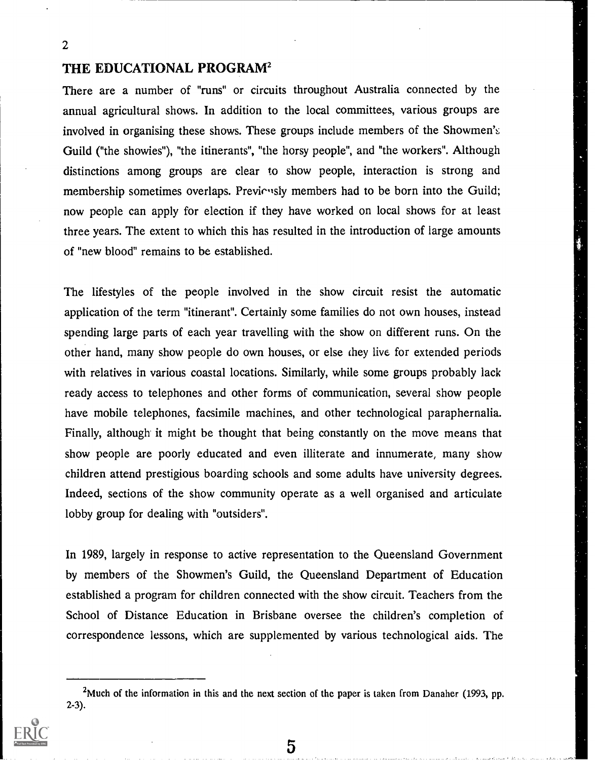## THE EDUCATIONAL PROGRAM<sup>2</sup>

There are a number of "runs" or circuits throughout Australia connected by the annual agricultural shows. In addition to the local committees, various groups are involved in organising these shows. These groups include members of the Showmen's Guild ("the showies"), "the itinerants", "the horsy people", and "the workers". Although distinctions among groups are clear to show people, interaction is strong and membership sometimes overlaps. Previcusly members had to be born into the Guild; now people can apply for election if they have worked on local shows for at least three years. The extent to which this has resulted in the introduction of large amounts of "new blood" remains to be established.

The lifestyles of the people involved in the show circuit resist the automatic application of the term "itinerant". Certainly some families do not own houses, instead spending large parts of each year travelling with the show on different runs. On the other hand, many show people do own houses, or else they live for extended periods with relatives in various coastal locations. Similarly, while some groups probably lack ready access to telephones and other forms of communication, several show people have mobile telephones, facsimile machines, and other technological paraphernalia. Finally, although it might be thought that being constantly on the move means that show people are poorly educated and even illiterate and innumerate, many show children attend prestigious boarding schools and some adults have university degrees. Indeed, sections of the show community operate as a well organised and articulate lobby group for dealing with "outsiders".

In 1989, largely in response to active representation to the Queensland Government by members of the Showmen's Guild, the Queensland Department of Education established a program for children connected with the show circuit. Teachers from the School of Distance Education in Brisbane oversee the children's completion of correspondence lessons, which are supplemented by various technological aids. The

<sup>&</sup>lt;sup>2</sup>Much of the information in this and the next section of the paper is taken from Danaher (1993, pp. 2-3).

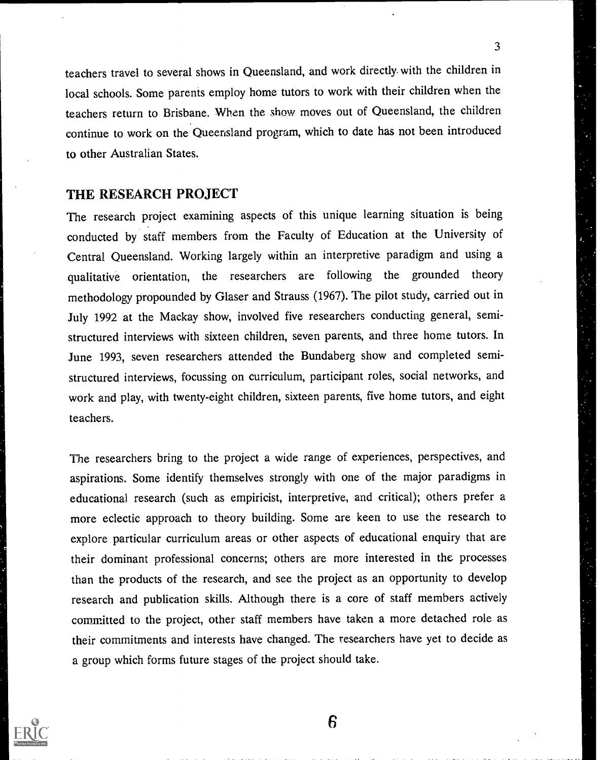teachers travel to several shows in Queensland, and work directly. with the children in local schools. Some parents employ home tutors to work with their children when the teachers return to Brisbane. When the show moves out of Queensland, the children continue to work on the Queensland program, which to date has not been introduced to other Australian States.

3

#### THE RESEARCH PROJECT

The research project examining aspects of this unique learning situation is being conducted by staff members from the Faculty of Education at the University of Central Queensland. Working largely within an interpretive paradigm and using a qualitative orientation, the researchers are following the grounded theory methodology propounded by Glaser and Strauss (1967). The pilot study, carried out in July 1992 at the Mackay show, involved five researchers conducting general, semistructured interviews with sixteen children, seven parents, and three home tutors. In June 1993, seven researchers attended the Bundaberg show and completed semistructured interviews, focussing on curriculum, participant roles, social networks, and work and play, with twenty-eight children, sixteen parents, five home tutors, and eight teachers.

The researchers bring to the project a wide range of experiences, perspectives, and aspirations. Some identify themselves strongly with one of the major paradigms in educational research (such as empiricist, interpretive, and critical); others prefer a more eclectic approach to theory building. Some are keen to use the research to explore particular curriculum areas or other aspects of educational enquiry that are their dominant professional concerns; others are more interested in the processes than the products of the research, and see the project as an opportunity to develop research and publication skills. Although there is a core of staff members actively committed to the project, other staff members have taken a more detached role as their commitments and interests have changed. The researchers have yet to decide as a group which forms future stages of the project should take.

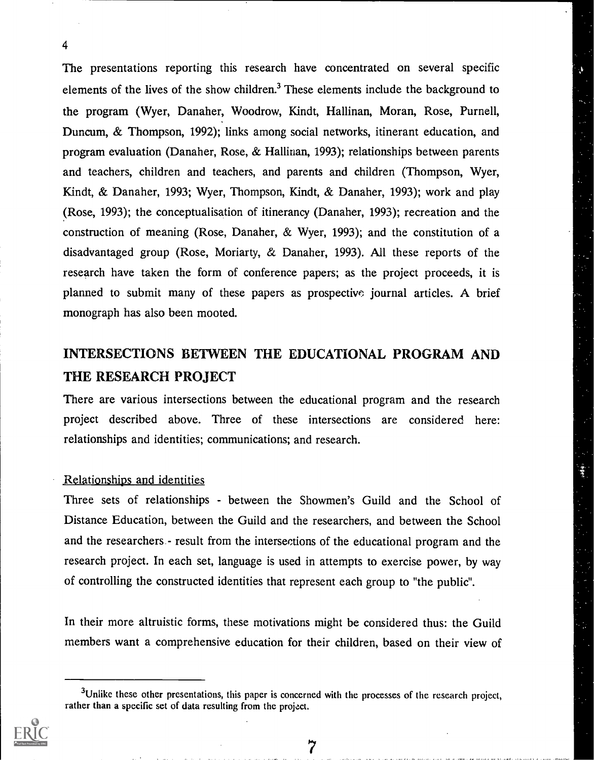The presentations reporting this research have concentrated on several specific elements of the lives of the show children.<sup>3</sup> These elements include the background to the program (Wyer, Danaher, Woodrow, Kindt, Hallinan, Moran, Rose, Purnell, Duncum, & Thompson, 1992); links among social networks, itinerant education, and program evaluation (Danaher, Rose, & Hallinan, 1993); relationships between parents and teachers, children and teachers, and parents and children (Thompson, Wyer, Kindt, & Danaher, 1993; Wyer, Thompson, Kindt, & Danaher, 1993); work and play (Rose, 1993); the conceptualisation of itinerancy (Danaher, 1993); recreation and the construction of meaning (Rose, Danaher, & Wyer, 1993); and the constitution of a disadvantaged group (Rose, Moriarty, & Danaher, 1993). All these reports of the research have taken the form of conference papers; as the project proceeds, it is planned to submit many of these papers as prospective journal articles. A brief monograph has also been mooted.

# INTERSECTIONS BETWEEN THE EDUCATIONAL PROGRAM AND THE RESEARCH PROJECT

There are various intersections between the educational program and the research project described above. Three of these intersections are considered here: relationships and identities; communications; and research.

#### Relationships and identities

Three sets of relationships - between the Showmen's Guild and the School of Distance Education, between the Guild and the researchers, and between the School and the researchers.- result from the intersections of the educational program and the research project. In each set, language is used in attempts to exercise power, by way of controlling the constructed identities that represent each group to "the public".

In their more altruistic forms, these motivations might be considered thus: the Guild members want a comprehensive education for their children, based on their view of

7



<sup>&</sup>lt;sup>3</sup>Unlike these other presentations, this paper is concerned with the processes of the research project, rather than a specific set of data resulting from the project.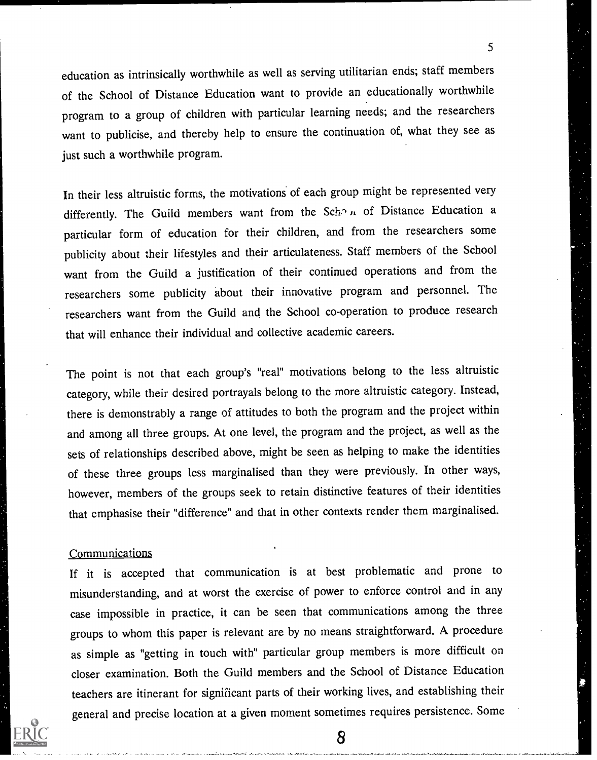education as intrinsically worthwhile as well as serving utilitarian ends; staff members of the School of Distance Education want to provide an educationally worthwhile program to a group of children with particular learning needs; and the researchers want to publicise, and thereby help to ensure the continuation of, what they see as just such a worthwhile program.

5

In their less altruistic forms, the motivations of each group might be represented very differently. The Guild members want from the Sch.<sup>2</sup> II of Distance Education a particular form of education for their children, and from the researchers some publicity about their lifestyles and their articulateness. Staff members of the School want from the Guild a justification of their continued operations and from the researchers some publicity about their innovative program and personnel. The researchers want from the Guild and the School co-operation to produce research that will enhance their individual and collective academic careers.

The point is not that each group's "real" motivations belong to the less altruistic category, while their desired portrayals belong to the more altruistic category. Instead, there is demonstrably a range of attitudes to both the program and the project within and among all three groups. At one level, the program and the project, as well as the sets of relationships described above, might be seen as helping to make the identities of these three groups less marginalised than they were previously. In other ways, however, members of the groups seek to retain distinctive features of their identities that emphasise their "difference" and that in other contexts render them marginalised.

#### **Communications**

If it is accepted that communication is at best problematic and prone to misunderstanding, and at worst the exercise of power to enforce control and in any case impossible in practice, it can be seen that communications among the three groups to whom this paper is relevant are by no means straightforward. A procedure as simple as "getting in touch with" particular group members is more difficult on closer examination. Both the Guild members and the School of Distance Education teachers are itinerant for significant parts of their working lives, and establishing their general and precise location at a given moment sometimes requires persistence. Some

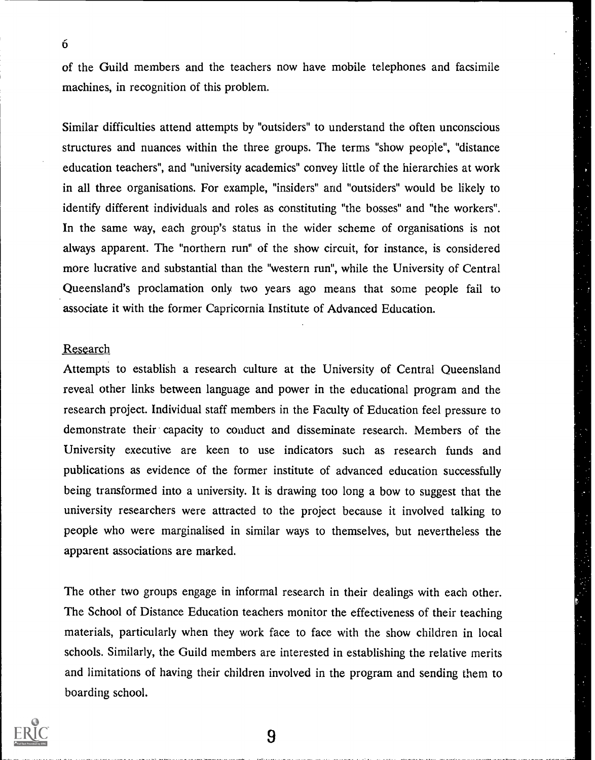of the Guild members and the teachers now have mobile telephones and facsimile machines, in recognition of this problem.

Similar difficulties attend attempts by "outsiders" to understand the often unconscious structures and nuances within the three groups. The terms "show people", "distance education teachers", and "university academics" convey little of the hierarchies at work in all three organisations. For example, "insiders" and "outsiders" would be likely to identify different individuals and roles as constituting "the bosses" and "the workers". In the same way, each group's status in the wider scheme of organisations is not always apparent. The "northern run" of the show circuit, for instance, is considered more lucrative and substantial than the "western run", while the University of Central Queensland's proclamation only two years ago means that some people fail to associate it with the former Capricornia Institute of Advanced Education.

#### Research

Attempts to establish a research culture at the University of Central Queensland reveal other links between language and power in the educational program and the research project. Individual staff members in the Faculty of Education feel pressure to demonstrate their capacity to conduct and disseminate research. Members of the University executive are keen to use indicators such as research funds and publications as evidence of the former institute of advanced education successfully being transformed into a university. It is drawing too long a bow to suggest that the university researchers were attracted to the project because it involved talking to people who were marginalised in similar ways to themselves, but nevertheless the apparent associations are marked.

The other two groups engage in informal research in their dealings with each other. The School of Distance Education teachers monitor the effectiveness of their teaching materials, particularly when they work face to face with the show children in local schools. Similarly, the Guild members are interested in establishing the relative merits and limitations of having their children involved in the program and sending them to boarding school.



6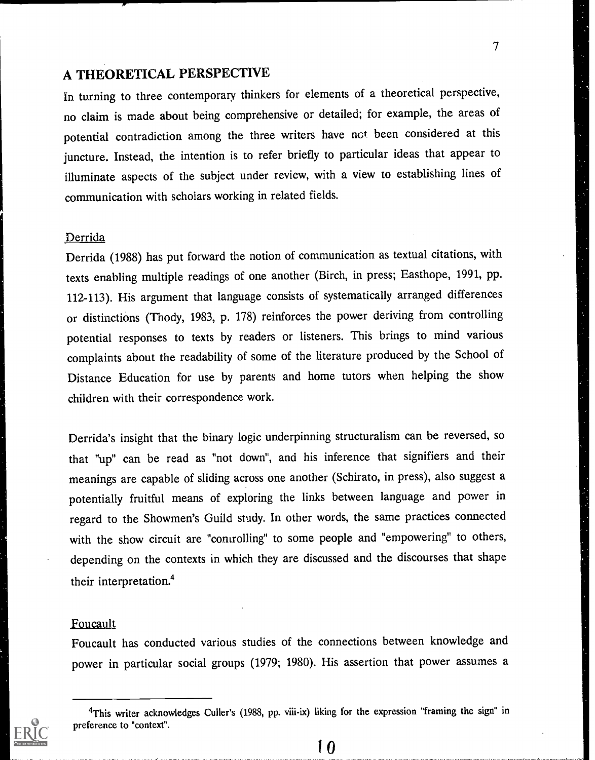## A THEORETICAL PERSPECTIVE

In turning to three contemporary thinkers for elements of a theoretical perspective, no claim is made about being comprehensive or detailed; for example, the areas of potential contradiction among the three writers have not been considered at this juncture. Instead, the intention is to refer briefly to particular ideas that appear to illuminate aspects of the subject under review, with a view to establishing lines of communication with scholars working in related fields.

7

#### Derrida

Derrida (1988) has put forward the notion of communication as textual citations, with texts enabling multiple readings of one another (Birch, in press; Easthope, 1991, pp. 112-113). His argument that language consists of systematically arranged differences or distinctions (Thody, 1983, p. 178) reinforces the power deriving from controlling potential responses to texts by readers or listeners. This brings to mind various complaints about the readability of some of the literature produced by the School of Distance Education for use by parents and home tutors when helping the show children with their correspondence work.

Derrida's insight that the binary logic underpinning structuralism can be reversed, so that "up" can be read as "not down", and his inference that signifiers and their meanings are capable of sliding across one another (Schirato, in press), also suggest a potentially fruitful means of exploring the links between language and power in regard to the Showmen's Guild study. In other words, the same practices connected with the show circuit are "controlling" to some people and "empowering" to others, depending on the contexts in which they are discussed and the discourses that shape their interpretation.4

#### Foucault

Foucault has conducted various studies of the connections between knowledge and power in particular social groups (1979; 1980). His assertion that power assumes a

<sup>4</sup>This writer acknowledges Culler's (1988, pp. viii-ix) liking for the expression "framing the sign" in preference to "context".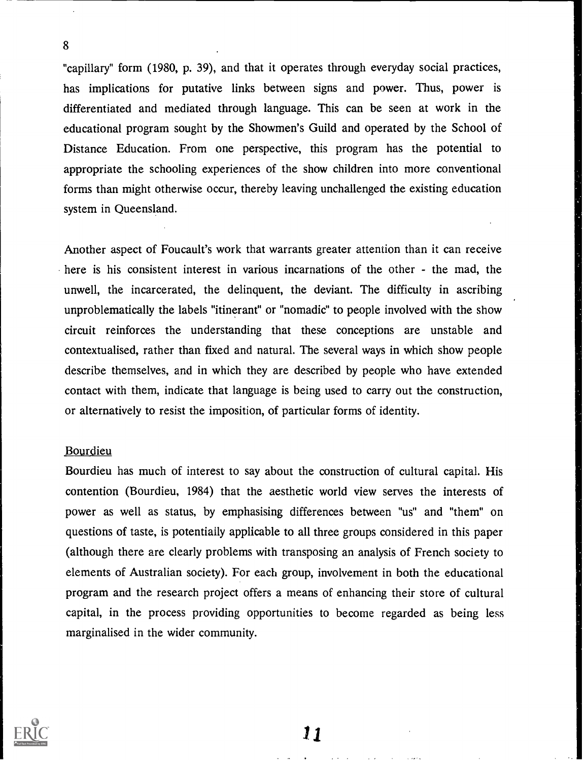"capillary" form (1980, p. 39), and that it operates through everyday social practices, has implications for putative links between signs and power. Thus, power is differentiated and mediated through language. This can be seen at work in the educational program sought by the Showmen's Guild and operated by the School of Distance Education. From one perspective, this program has the potential to appropriate the schooling experiences of the show children into more conventional forms than might otherwise occur, thereby leaving unchallenged the existing education system in Queensland.

Another aspect of Foucault's work that warrants greater attention than it can receive here is his consistent interest in various incarnations of the other - the mad, the unwell, the incarcerated, the delinquent, the deviant. The difficulty in ascribing unproblematically the labels "itinerant" or "nomadic" to people involved with the show circuit reinforces the understanding that these conceptions are unstable and contextualised, rather than fixed and natural. The several ways in which show people describe themselves, and in which they are described by people who have extended contact with them, indicate that language is being used to carry out the construction, or alternatively to resist the imposition, of particular forms of identity.

#### Bourdieu

8

Bourdieu has much of interest to say about the construction of cultural capital. His contention (Bourdieu, 1984) that the aesthetic world view serves the interests of power as well as status, by emphasising differences between "us" and "them" on questions of taste, is potentially applicable to all three groups considered in this paper (although there are clearly problems with transposing an analysis of French society to elements of Australian society). For each group, involvement in both the educational program and the research project offers a means of enhancing their store of cultural capital, in the process providing opportunities to become regarded as being less marginalised in the wider community.

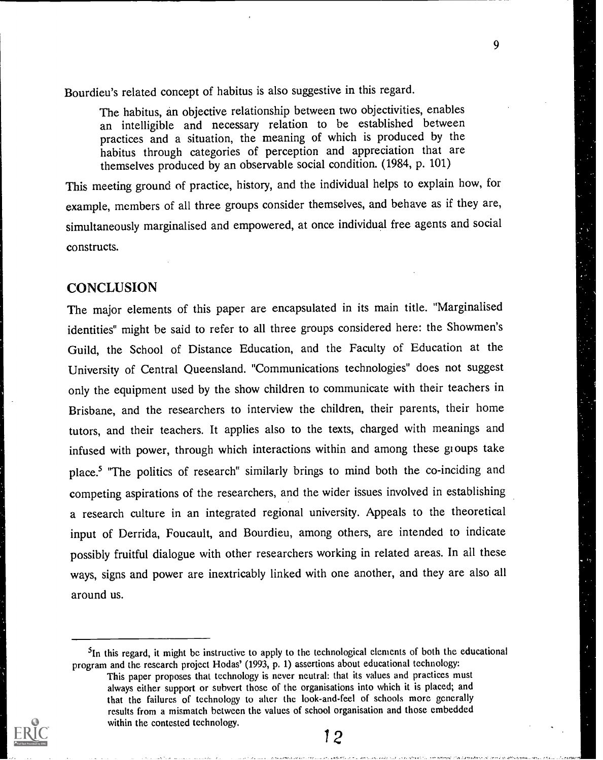Bourdieu's related concept of habitus is also suggestive in this regard.

The habitus, an objective relationship between two objectivities, enables an intelligible and necessary relation to be established between practices and a situation, the meaning of which is produced by the habitus through categories of perception and appreciation that are themselves produced by an observable social condition. (1984, p. 101)

9

This meeting ground of practice, history, and the individual helps to explain how, for example, members of all three groups consider themselves, and behave as if they are, simultaneously marginalised and empowered, at once individual free agents and social constructs.

### **CONCLUSION**

The major elements of this paper are encapsulated in its main title. "Marginalised identities" might be said to refer to all three groups considered here: the Showmen's Guild, the School of Distance Education, and the Faculty of Education at the University of Central Queensland. "Communications technologies" does not suggest only the equipment used by the show children to communicate with their teachers in Brisbane, and the researchers to interview the children, their parents, their home tutors, and their teachers. It applies also to the texts, charged with meanings and infused with power, through which interactions within and among these gi oups take place.5 'The politics of research" similarly brings to mind both the co-inciding and competing aspirations of the researchers, and the wider issues involved in establishing a research culture in an integrated regional university. Appeals to the theoretical input of Derrida, Foucault, and Bourdieu, among others, are intended to indicate possibly fruitful dialogue with other researchers working in related areas. In all these ways, signs and power are inextricably linked with one another, and they are also all around us.

 $<sup>5</sup>$ In this regard, it might be instructive to apply to the technological elements of both the educational</sup> program and the research project Hodas' (1993, p. 1) assertions about educational technology:

This paper proposes that technology is never neutral: that its values and practices must always either support or subvert those of the organisations into which it is placed; and that the failures of technology to alter the look-and-feel of schools more generally results from a mismatch between the values of school organisation and those embedded within the contested technology,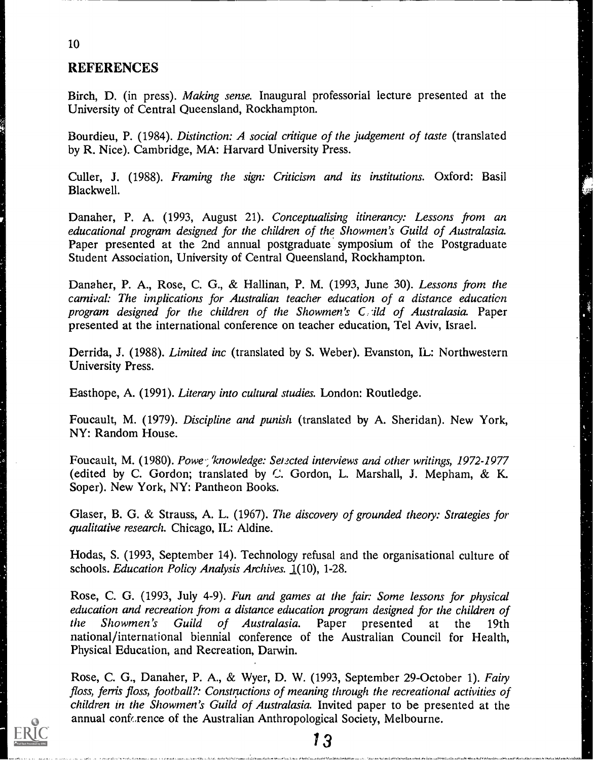### REFERENCES

Birch, D. (in press). Making sense. Inaugural professorial lecture presented at the University of Central Queensland, Rockhampton.

Bourdieu, P. (1984). Distinction: A social critique of the judgement of taste (translated by R. Nice). Cambridge, MA: Harvard University Press.

Culler, J. (1988). Framing the sign: Criticism and its institutions. Oxford: Basil Blackwell.

Danaher, P. A. (1993, August 21). Conceptualising itinerancy: Lessons from an educational program designed for the children of the Showmen's Guild of Australasia. Paper presented at the 2nd annual postgraduate symposium of the Postgraduate Student Association, University of Central Queensland, Rockhampton.

Danaher, P. A., Rose, C. G., & Hallinan, P. M. (1993, June 30). Lessons from the carnival: The implications for Australian teacher education of a distance education program designed for the children of the Showmen's C ild of Australasia. Paper presented at the international conference on teacher education, Tel Aviv, Israel.

一、

Derrida, J. (1988). Limited inc (translated by S. Weber). Evanston, IL: Northwestern University Press.

Easthope, A. (1991). Literary into cultural studies. London: Routledge.

Foucault, M. (1979). Discipline and punish (translated by A. Sheridan). New York, NY: Random House.

Foucault, M. (1980). Powe: 'knowledge: Setzcted interviews and other writings, 1972-1977 (edited by C. Gordon; translated by C. Gordon, L. Marshall, J. Mepham, & K. Soper). New York, NY: Pantheon Books.

Glaser, B. G. & Strauss, A. L. (1967). The discovery of grounded theory: Strategies for qualitative research. Chicago, IL: Aldine.

Hodas, S. (1993, September 14). Technology refusal and the organisational culture of schools. Education Policy Analysis Archives. 1(10), 1-28.

Rose, C. G. (1993, July 4-9). Fun and games at the fair: Some lessons for physical education and recreation from a distance education program designed for the children of<br>the Showmen's Guild of Australasia. Paper presented at the 19th the Showmen's Guild of Australasia. Paper presented at the 19th national/international biennial conference of the Australian Council for Health, Physical Education, and Recreation, Darwin.

Rose, C. G., Danaher, P. A., & Wyer, D. W. (1993, September 29-October 1). Fairy floss, ferris floss, football?: Constructions of meaning through the recreational activities of children in the Showmen's Guild of Australasia. Invited paper to be presented at the annual conference of the Australian Anthropological Society, Melbourne.